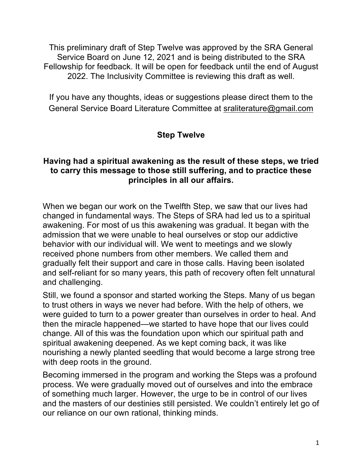This preliminary draft of Step Twelve was approved by the SRA General Service Board on June 12, 2021 and is being distributed to the SRA Fellowship for feedback. It will be open for feedback until the end of August 2022. The Inclusivity Committee is reviewing this draft as well.

If you have any thoughts, ideas or suggestions please direct them to the General Service Board Literature Committee at sraliterature@gmail.com

## **Step Twelve**

## **Having had a spiritual awakening as the result of these steps, we tried to carry this message to those still suffering, and to practice these principles in all our affairs.**

When we began our work on the Twelfth Step, we saw that our lives had changed in fundamental ways. The Steps of SRA had led us to a spiritual awakening. For most of us this awakening was gradual. It began with the admission that we were unable to heal ourselves or stop our addictive behavior with our individual will. We went to meetings and we slowly received phone numbers from other members. We called them and gradually felt their support and care in those calls. Having been isolated and self-reliant for so many years, this path of recovery often felt unnatural and challenging.

Still, we found a sponsor and started working the Steps. Many of us began to trust others in ways we never had before. With the help of others, we were guided to turn to a power greater than ourselves in order to heal. And then the miracle happened—we started to have hope that our lives could change. All of this was the foundation upon which our spiritual path and spiritual awakening deepened. As we kept coming back, it was like nourishing a newly planted seedling that would become a large strong tree with deep roots in the ground.

Becoming immersed in the program and working the Steps was a profound process. We were gradually moved out of ourselves and into the embrace of something much larger. However, the urge to be in control of our lives and the masters of our destinies still persisted. We couldn't entirely let go of our reliance on our own rational, thinking minds.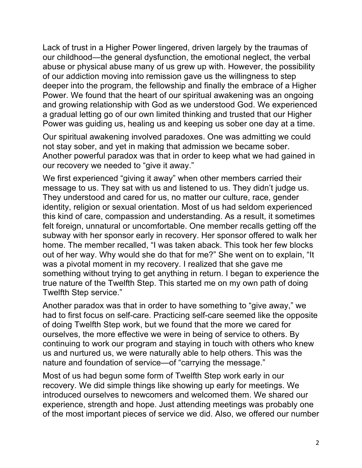Lack of trust in a Higher Power lingered, driven largely by the traumas of our childhood—the general dysfunction, the emotional neglect, the verbal abuse or physical abuse many of us grew up with. However, the possibility of our addiction moving into remission gave us the willingness to step deeper into the program, the fellowship and finally the embrace of a Higher Power. We found that the heart of our spiritual awakening was an ongoing and growing relationship with God as we understood God. We experienced a gradual letting go of our own limited thinking and trusted that our Higher Power was guiding us, healing us and keeping us sober one day at a time.

Our spiritual awakening involved paradoxes. One was admitting we could not stay sober, and yet in making that admission we became sober. Another powerful paradox was that in order to keep what we had gained in our recovery we needed to "give it away."

We first experienced "giving it away" when other members carried their message to us. They sat with us and listened to us. They didn't judge us. They understood and cared for us, no matter our culture, race, gender identity, religion or sexual orientation. Most of us had seldom experienced this kind of care, compassion and understanding. As a result, it sometimes felt foreign, unnatural or uncomfortable. One member recalls getting off the subway with her sponsor early in recovery. Her sponsor offered to walk her home. The member recalled, "I was taken aback. This took her few blocks out of her way. Why would she do that for me?" She went on to explain, "It was a pivotal moment in my recovery. I realized that she gave me something without trying to get anything in return. I began to experience the true nature of the Twelfth Step. This started me on my own path of doing Twelfth Step service."

Another paradox was that in order to have something to "give away," we had to first focus on self-care. Practicing self-care seemed like the opposite of doing Twelfth Step work, but we found that the more we cared for ourselves, the more effective we were in being of service to others. By continuing to work our program and staying in touch with others who knew us and nurtured us, we were naturally able to help others. This was the nature and foundation of service—of "carrying the message."

Most of us had begun some form of Twelfth Step work early in our recovery. We did simple things like showing up early for meetings. We introduced ourselves to newcomers and welcomed them. We shared our experience, strength and hope. Just attending meetings was probably one of the most important pieces of service we did. Also, we offered our number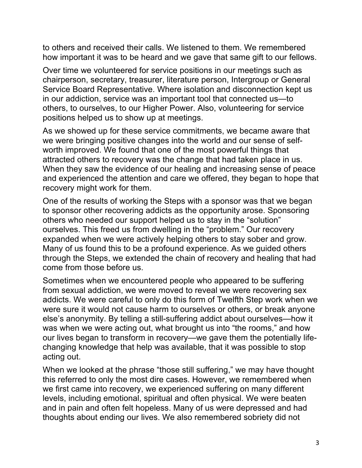to others and received their calls. We listened to them. We remembered how important it was to be heard and we gave that same gift to our fellows.

Over time we volunteered for service positions in our meetings such as chairperson, secretary, treasurer, literature person, Intergroup or General Service Board Representative. Where isolation and disconnection kept us in our addiction, service was an important tool that connected us—to others, to ourselves, to our Higher Power. Also, volunteering for service positions helped us to show up at meetings.

As we showed up for these service commitments, we became aware that we were bringing positive changes into the world and our sense of selfworth improved. We found that one of the most powerful things that attracted others to recovery was the change that had taken place in us. When they saw the evidence of our healing and increasing sense of peace and experienced the attention and care we offered, they began to hope that recovery might work for them.

One of the results of working the Steps with a sponsor was that we began to sponsor other recovering addicts as the opportunity arose. Sponsoring others who needed our support helped us to stay in the "solution" ourselves. This freed us from dwelling in the "problem." Our recovery expanded when we were actively helping others to stay sober and grow. Many of us found this to be a profound experience. As we guided others through the Steps, we extended the chain of recovery and healing that had come from those before us.

Sometimes when we encountered people who appeared to be suffering from sexual addiction, we were moved to reveal we were recovering sex addicts. We were careful to only do this form of Twelfth Step work when we were sure it would not cause harm to ourselves or others, or break anyone else's anonymity. By telling a still-suffering addict about ourselves—how it was when we were acting out, what brought us into "the rooms," and how our lives began to transform in recovery—we gave them the potentially lifechanging knowledge that help was available, that it was possible to stop acting out.

When we looked at the phrase "those still suffering," we may have thought this referred to only the most dire cases. However, we remembered when we first came into recovery, we experienced suffering on many different levels, including emotional, spiritual and often physical. We were beaten and in pain and often felt hopeless. Many of us were depressed and had thoughts about ending our lives. We also remembered sobriety did not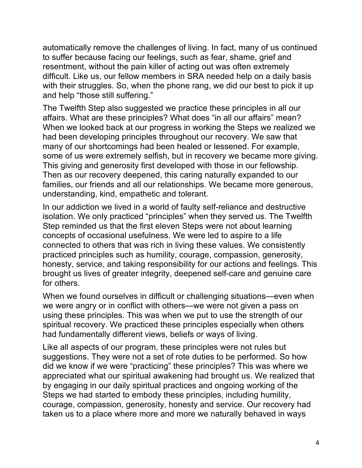automatically remove the challenges of living. In fact, many of us continued to suffer because facing our feelings, such as fear, shame, grief and resentment, without the pain killer of acting out was often extremely difficult. Like us, our fellow members in SRA needed help on a daily basis with their struggles. So, when the phone rang, we did our best to pick it up and help "those still suffering."

The Twelfth Step also suggested we practice these principles in all our affairs. What are these principles? What does "in all our affairs" mean? When we looked back at our progress in working the Steps we realized we had been developing principles throughout our recovery. We saw that many of our shortcomings had been healed or lessened. For example, some of us were extremely selfish, but in recovery we became more giving. This giving and generosity first developed with those in our fellowship. Then as our recovery deepened, this caring naturally expanded to our families, our friends and all our relationships. We became more generous, understanding, kind, empathetic and tolerant.

In our addiction we lived in a world of faulty self-reliance and destructive isolation. We only practiced "principles" when they served us. The Twelfth Step reminded us that the first eleven Steps were not about learning concepts of occasional usefulness. We were led to aspire to a life connected to others that was rich in living these values. We consistently practiced principles such as humility, courage, compassion, generosity, honesty, service, and taking responsibility for our actions and feelings. This brought us lives of greater integrity, deepened self-care and genuine care for others.

When we found ourselves in difficult or challenging situations—even when we were angry or in conflict with others—we were not given a pass on using these principles. This was when we put to use the strength of our spiritual recovery. We practiced these principles especially when others had fundamentally different views, beliefs or ways of living.

Like all aspects of our program, these principles were not rules but suggestions. They were not a set of rote duties to be performed. So how did we know if we were "practicing" these principles? This was where we appreciated what our spiritual awakening had brought us. We realized that by engaging in our daily spiritual practices and ongoing working of the Steps we had started to embody these principles, including humility, courage, compassion, generosity, honesty and service. Our recovery had taken us to a place where more and more we naturally behaved in ways